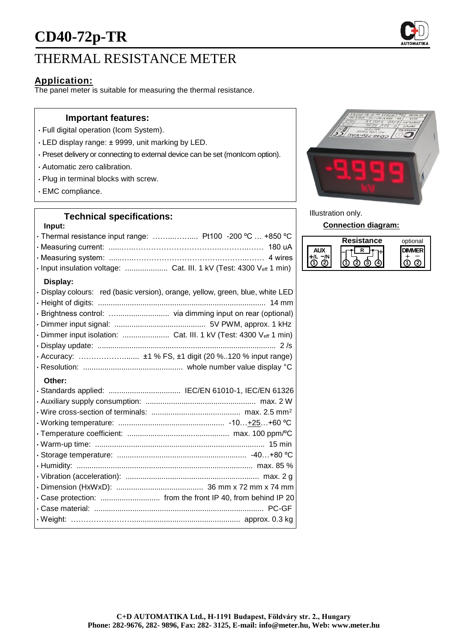# **CD40-72p-TR**

# THERMAL RESISTANCE METER

## **Application:**

The panel meter is suitable for measuring the thermal resistance.

#### **Important features:**

- Full digital operation (Icom System).
- LED display range: ± 9999, unit marking by LED.
- Preset delivery or connecting to external device can be set (monIcom option).
- Automatic zero calibration.
- Plug in terminal blocks with screw.
- EMC compliance.

### **Technical specifications:**

# **Input:** • Thermal resistance input range: ……...…….... Pt100 -200 ºC … +850 ºC • Measuring current: ......…..……………………………..………..…… 180 uA • Measuring system: ......…..…………………………….………...…… 4 wires • Input insulation voltage: .................... Cat. III. 1 kV (Test: 4300 Veff 1 min) **Display:** • Display colours: red (basic version), orange, yellow, green, blue, white LED • Height of digits: ............................................................................... 14 mm • Brightness control: …......................... via dimming input on rear (optional) • Dimmer input signal: ........................................... 5V PWM, approx. 1 kHz • Dimmer input isolation: ...................... Cat. III. 1 kV (Test: 4300 Veff 1 min) • Display update: .................................................................................... 2 /s • Accuracy: ………………....... ±1 % FS, ±1 digit (20 %..120 % input range) • Resolution: ............................................... whole number value display °C **Other:** • Standards applied: .................................. IEC/EN 61010-1, IEC/EN 61326 • Auxiliary supply consumption: .................................................... max. 2 W • Wire cross-section of terminals: .......................................... max. 2.5 mm<sup>2</sup> • Working temperature: .................................................. -10…+25…+60 ºC • Temperature coefficient: ................................................ max. 100 ppm/ºC • Warm-up time: ................................................................................ 15 min • Storage temperature: ............................................................. -40…+80 ºC • Humidity: ................................................................................... max. 85 % • Vibration (acceleration): ............................................................... max. 2 g • Dimension (HxWxD): ......................................... 36 mm x 72 mm x 74 mm • Case protection: ............................ from the front IP 40, from behind IP 20

• Case material: ................................................................................ PC-GF • Weight: ……………………................................................... approx. 0.3 kg



Illustration only.

#### **Connection diagram:**

| Resistance | optional |
|------------|----------|
|            |          |